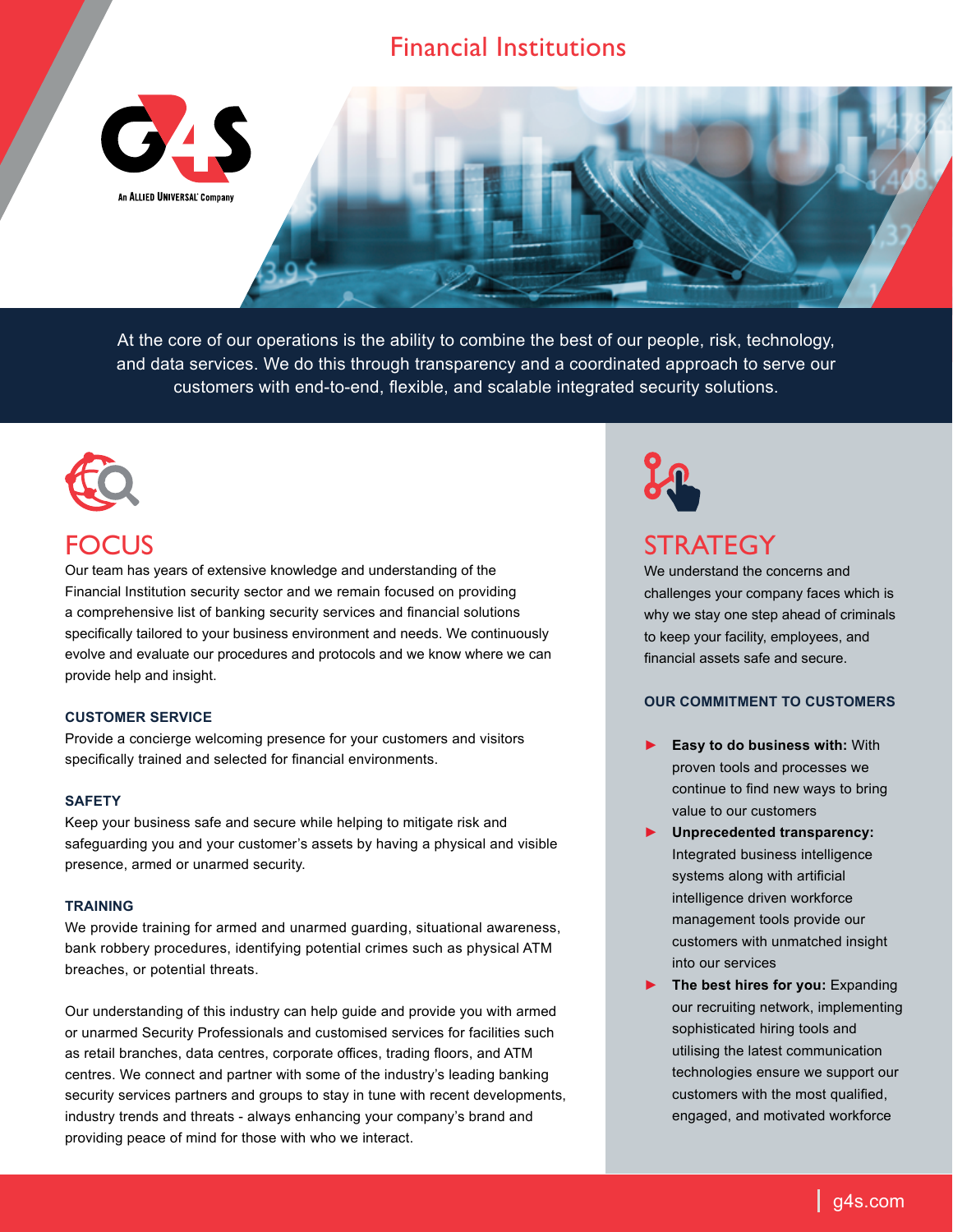# Financial Institutions



At the core of our operations is the ability to combine the best of our people, risk, technology, and data services. We do this through transparency and a coordinated approach to serve our customers with end-to-end, flexible, and scalable integrated security solutions.



# FOCUS

Our team has years of extensive knowledge and understanding of the Financial Institution security sector and we remain focused on providing a comprehensive list of banking security services and financial solutions specifically tailored to your business environment and needs. We continuously evolve and evaluate our procedures and protocols and we know where we can provide help and insight.

## **CUSTOMER SERVICE**

Provide a concierge welcoming presence for your customers and visitors specifically trained and selected for financial environments.

#### **SAFETY**

Keep your business safe and secure while helping to mitigate risk and safeguarding you and your customer's assets by having a physical and visible presence, armed or unarmed security.

### **TRAINING**

We provide training for armed and unarmed guarding, situational awareness, bank robbery procedures, identifying potential crimes such as physical ATM breaches, or potential threats.

Our understanding of this industry can help guide and provide you with armed or unarmed Security Professionals and customised services for facilities such as retail branches, data centres, corporate offices, trading floors, and ATM centres. We connect and partner with some of the industry's leading banking security services partners and groups to stay in tune with recent developments, industry trends and threats - always enhancing your company's brand and providing peace of mind for those with who we interact.



# **STRATEGY**

We understand the concerns and challenges your company faces which is why we stay one step ahead of criminals to keep your facility, employees, and financial assets safe and secure.

## **OUR COMMITMENT TO CUSTOMERS**

- ► **Easy to do business with:** With proven tools and processes we continue to find new ways to bring value to our customers
- ► **Unprecedented transparency:** Integrated business intelligence systems along with artificial intelligence driven workforce management tools provide our customers with unmatched insight into our services
- ► **The best hires for you:** Expanding our recruiting network, implementing sophisticated hiring tools and utilising the latest communication technologies ensure we support our customers with the most qualified, engaged, and motivated workforce